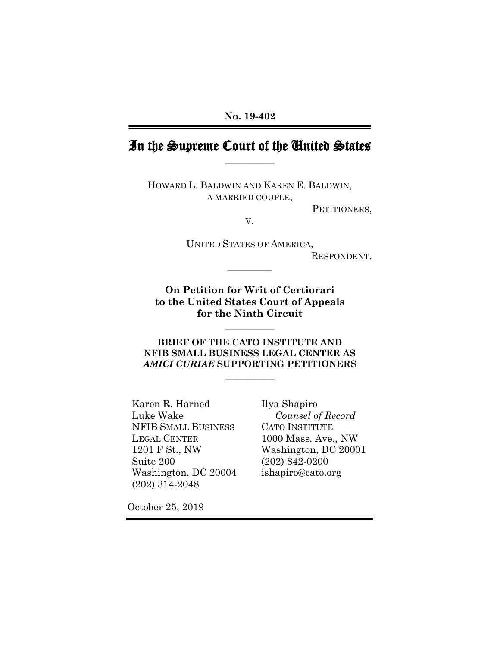# In the Supreme Court of the United States **\_\_\_\_\_\_\_\_\_\_**

HOWARD L. BALDWIN AND KAREN E. BALDWIN, A MARRIED COUPLE,

PETITIONERS,

V.

UNITED STATES OF AMERICA, RESPONDENT.

**On Petition for Writ of Certiorari to the United States Court of Appeals for the Ninth Circuit**

**\_\_\_\_\_\_\_\_\_\_**

**\_\_\_\_\_\_\_\_\_\_**

**BRIEF OF THE CATO INSTITUTE AND NFIB SMALL BUSINESS LEGAL CENTER AS**  *AMICI CURIAE* **SUPPORTING PETITIONERS**

**\_\_\_\_\_\_\_\_\_\_**

Karen R. Harned Luke Wake NFIB SMALL BUSINESS LEGAL CENTER 1201 F St., NW Suite 200 Washington, DC 20004 (202) 314-2048

Ilya Shapiro *Counsel of Record* CATO INSTITUTE 1000 Mass. Ave., NW Washington, DC 20001 (202) 842-0200 ishapiro@cato.org

October 25, 2019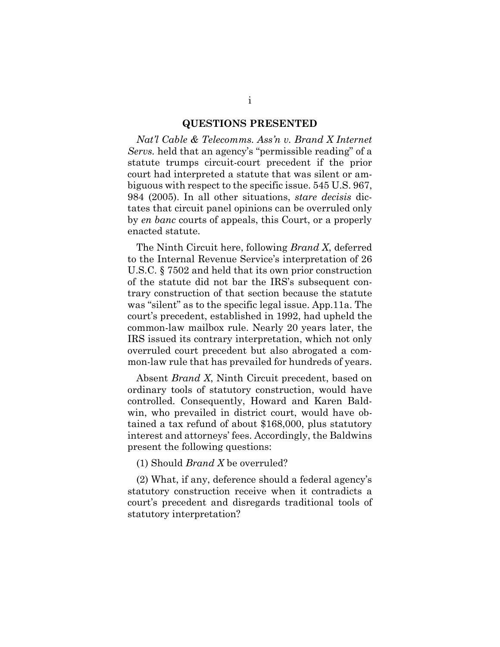#### **QUESTIONS PRESENTED**

<span id="page-1-0"></span>*Nat'l Cable & Telecomms. Ass'n v. Brand X Internet Servs.* held that an agency's "permissible reading" of a statute trumps circuit-court precedent if the prior court had interpreted a statute that was silent or ambiguous with respect to the specific issue. 545 U.S. 967, 984 (2005). In all other situations, *stare decisis* dictates that circuit panel opinions can be overruled only by *en banc* courts of appeals, this Court, or a properly enacted statute.

The Ninth Circuit here, following *Brand X*, deferred to the Internal Revenue Service's interpretation of 26 U.S.C. § 7502 and held that its own prior construction of the statute did not bar the IRS's subsequent contrary construction of that section because the statute was "silent" as to the specific legal issue. App.11a. The court's precedent, established in 1992, had upheld the common-law mailbox rule. Nearly 20 years later, the IRS issued its contrary interpretation, which not only overruled court precedent but also abrogated a common-law rule that has prevailed for hundreds of years.

Absent *Brand X*, Ninth Circuit precedent, based on ordinary tools of statutory construction, would have controlled. Consequently, Howard and Karen Baldwin, who prevailed in district court, would have obtained a tax refund of about \$168,000, plus statutory interest and attorneys' fees. Accordingly, the Baldwins present the following questions:

(1) Should *Brand X* be overruled?

(2) What, if any, deference should a federal agency's statutory construction receive when it contradicts a court's precedent and disregards traditional tools of statutory interpretation?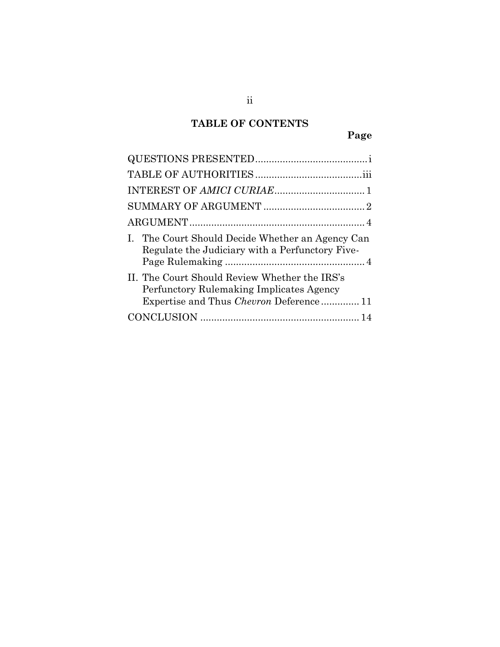# **TABLE OF CONTENTS**

| The Court Should Decide Whether an Agency Can<br>$\mathbf{L}$<br>Regulate the Judiciary with a Perfunctory Five-                     |
|--------------------------------------------------------------------------------------------------------------------------------------|
| II. The Court Should Review Whether the IRS's<br>Perfunctory Rulemaking Implicates Agency<br>Expertise and Thus Chevron Deference 11 |
|                                                                                                                                      |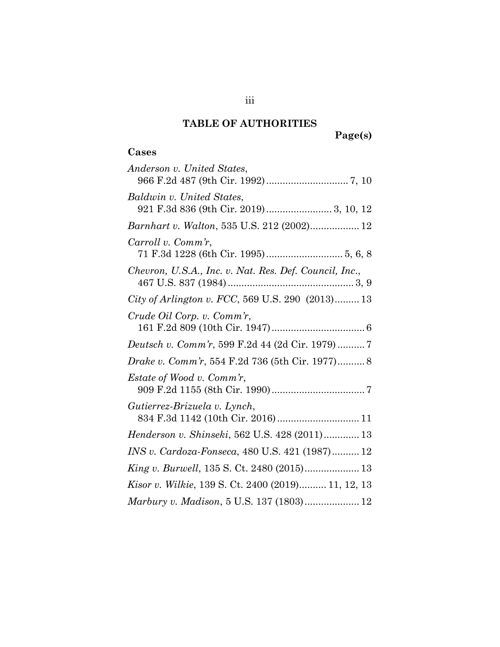## **TABLE OF AUTHORITIES**

## <span id="page-3-0"></span>**Cases**

| Anderson v. United States,                                          |
|---------------------------------------------------------------------|
| Baldwin v. United States,<br>921 F.3d 836 (9th Cir. 2019) 3, 10, 12 |
| Barnhart v. Walton, 535 U.S. 212 (2002) 12                          |
| Carroll v. Comm'r,                                                  |
| Chevron, U.S.A., Inc. v. Nat. Res. Def. Council, Inc.,              |
| City of Arlington v. FCC, 569 U.S. 290 (2013) 13                    |
| Crude Oil Corp. v. Comm'r,                                          |
|                                                                     |
| <i>Drake v. Comm'r</i> , 554 F.2d 736 (5th Cir. 1977) 8             |
| <i>Estate of Wood v. Comm'r,</i>                                    |
| Gutierrez-Brizuela v. Lynch,<br>834 F.3d 1142 (10th Cir. 2016)  11  |
| Henderson v. Shinseki, 562 U.S. 428 (2011) 13                       |
| INS v. Cardoza-Fonseca, 480 U.S. 421 (1987) 12                      |
| King v. Burwell, 135 S. Ct. 2480 (2015) 13                          |
| Kisor v. Wilkie, 139 S. Ct. 2400 (2019) 11, 12, 13                  |
| Marbury v. Madison, 5 U.S. 137 (1803) 12                            |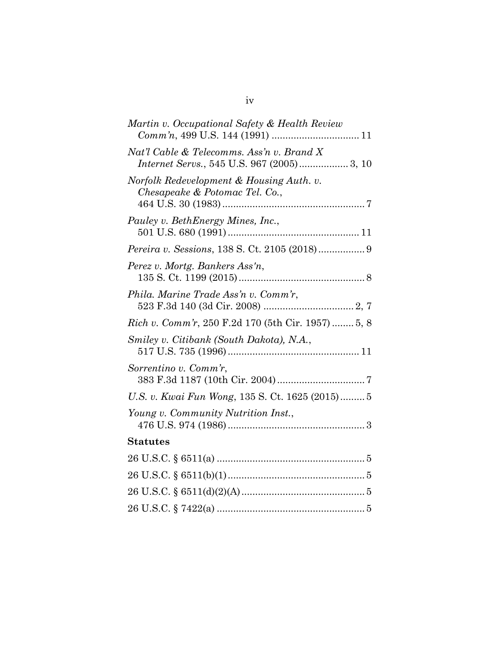| Martin v. Occupational Safety & Health Review                                           |
|-----------------------------------------------------------------------------------------|
| Nat'l Cable & Telecomms. Ass'n v. Brand X<br>Internet Servs., 545 U.S. 967 (2005) 3, 10 |
| Norfolk Redevelopment & Housing Auth. v.<br>Chesapeake & Potomac Tel. Co.,              |
| Pauley v. BethEnergy Mines, Inc.,                                                       |
| Pereira v. Sessions, 138 S. Ct. 2105 (2018) 9                                           |
| Perez v. Mortg. Bankers Ass'n,                                                          |
| Phila. Marine Trade Ass'n v. Comm'r,                                                    |
| <i>Rich v. Comm'r, 250 F.2d 170 (5th Cir. 1957)  5, 8</i>                               |
| Smiley v. Citibank (South Dakota), N.A.,                                                |
| Sorrentino v. Comm'r,                                                                   |
| U.S. v. Kwai Fun Wong, 135 S. Ct. 1625 (2015) 5                                         |
| Young v. Community Nutrition Inst.,                                                     |
| <b>Statutes</b>                                                                         |
|                                                                                         |
|                                                                                         |
|                                                                                         |
| 26 U.S.C. $\frac{26 \text{ U.S. C}}{2422(a) \dots}$                                     |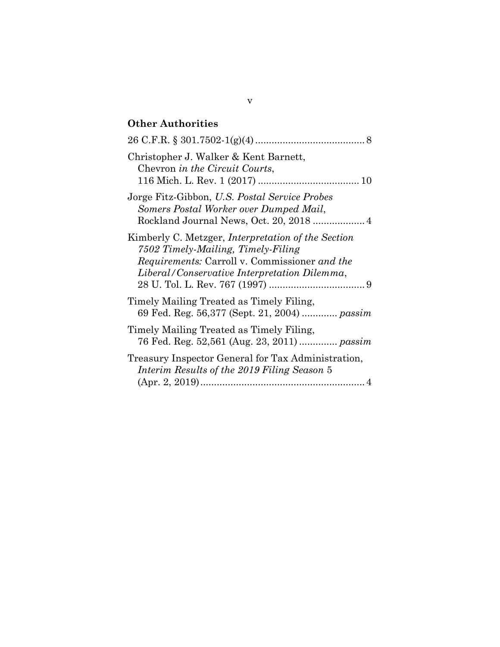## **Other Authorities**

| Christopher J. Walker & Kent Barnett,<br>Chevron in the Circuit Courts,                                                                                                                                 |
|---------------------------------------------------------------------------------------------------------------------------------------------------------------------------------------------------------|
| Jorge Fitz-Gibbon, U.S. Postal Service Probes<br>Somers Postal Worker over Dumped Mail,<br>Rockland Journal News, Oct. 20, 2018  4                                                                      |
| Kimberly C. Metzger, <i>Interpretation</i> of the Section<br>7502 Timely-Mailing, Timely-Filing<br><i>Requirements:</i> Carroll v. Commissioner and the<br>Liberal/Conservative Interpretation Dilemma, |
| Timely Mailing Treated as Timely Filing,<br>69 Fed. Reg. 56,377 (Sept. 21, 2004)  passim                                                                                                                |
| Timely Mailing Treated as Timely Filing,<br>76 Fed. Reg. 52,561 (Aug. 23, 2011)  passim                                                                                                                 |
| Treasury Inspector General for Tax Administration,<br>Interim Results of the 2019 Filing Season 5                                                                                                       |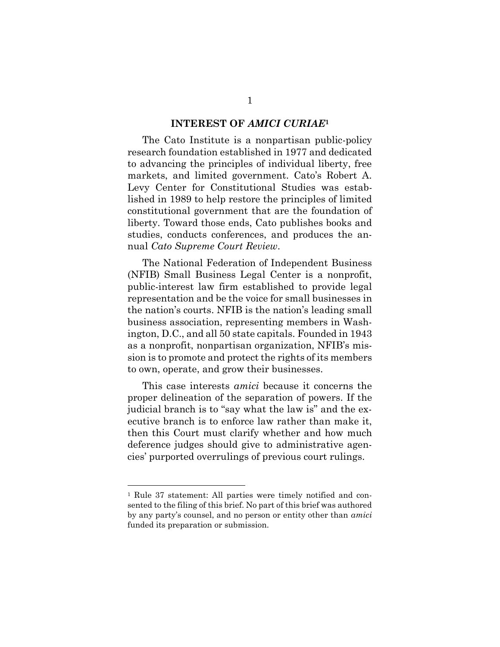#### **INTEREST OF** *AMICI CURIAE***<sup>1</sup>**

<span id="page-6-0"></span>The Cato Institute is a nonpartisan public-policy research foundation established in 1977 and dedicated to advancing the principles of individual liberty, free markets, and limited government. Cato's Robert A. Levy Center for Constitutional Studies was established in 1989 to help restore the principles of limited constitutional government that are the foundation of liberty. Toward those ends, Cato publishes books and studies, conducts conferences, and produces the annual *Cato Supreme Court Review*.

The National Federation of Independent Business (NFIB) Small Business Legal Center is a nonprofit, public-interest law firm established to provide legal representation and be the voice for small businesses in the nation's courts. NFIB is the nation's leading small business association, representing members in Washington, D.C., and all 50 state capitals. Founded in 1943 as a nonprofit, nonpartisan organization, NFIB's mission is to promote and protect the rights of its members to own, operate, and grow their businesses.

This case interests *amici* because it concerns the proper delineation of the separation of powers. If the judicial branch is to "say what the law is" and the executive branch is to enforce law rather than make it, then this Court must clarify whether and how much deference judges should give to administrative agencies' purported overrulings of previous court rulings.

 $\overline{a}$ 

<sup>1</sup> Rule 37 statement: All parties were timely notified and consented to the filing of this brief. No part of this brief was authored by any party's counsel, and no person or entity other than *amici* funded its preparation or submission.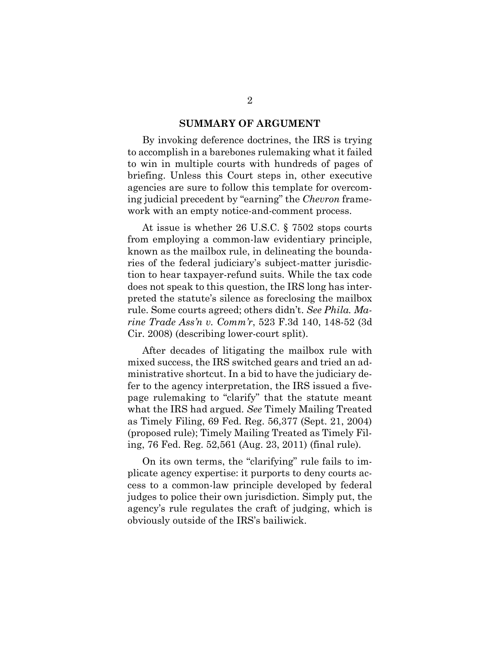#### **SUMMARY OF ARGUMENT**

<span id="page-7-0"></span>By invoking deference doctrines, the IRS is trying to accomplish in a barebones rulemaking what it failed to win in multiple courts with hundreds of pages of briefing. Unless this Court steps in, other executive agencies are sure to follow this template for overcoming judicial precedent by "earning" the *Chevron* framework with an empty notice-and-comment process.

At issue is whether 26 U.S.C. § 7502 stops courts from employing a common-law evidentiary principle, known as the mailbox rule, in delineating the boundaries of the federal judiciary's subject-matter jurisdiction to hear taxpayer-refund suits. While the tax code does not speak to this question, the IRS long has interpreted the statute's silence as foreclosing the mailbox rule. Some courts agreed; others didn't. *See Phila. Marine Trade Ass'n v. Comm'r*, 523 F.3d 140, 148-52 (3d Cir. 2008) (describing lower-court split).

After decades of litigating the mailbox rule with mixed success, the IRS switched gears and tried an administrative shortcut. In a bid to have the judiciary defer to the agency interpretation, the IRS issued a fivepage rulemaking to "clarify" that the statute meant what the IRS had argued. *See* Timely Mailing Treated as Timely Filing, 69 Fed. Reg. 56,377 (Sept. 21, 2004) (proposed rule); Timely Mailing Treated as Timely Filing, 76 Fed. Reg. 52,561 (Aug. 23, 2011) (final rule).

On its own terms, the "clarifying" rule fails to implicate agency expertise: it purports to deny courts access to a common-law principle developed by federal judges to police their own jurisdiction. Simply put, the agency's rule regulates the craft of judging, which is obviously outside of the IRS's bailiwick.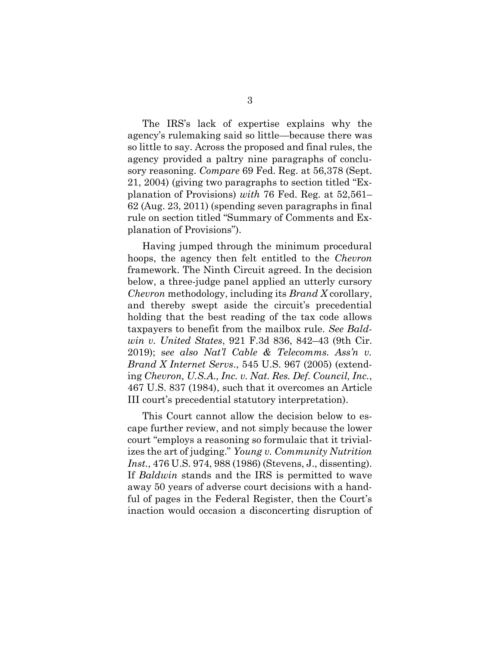The IRS's lack of expertise explains why the agency's rulemaking said so little—because there was so little to say. Across the proposed and final rules, the agency provided a paltry nine paragraphs of conclusory reasoning. *Compare* 69 Fed. Reg. at 56,378 (Sept. 21, 2004) (giving two paragraphs to section titled "Explanation of Provisions) *with* 76 Fed. Reg. at 52,561– 62 (Aug. 23, 2011) (spending seven paragraphs in final rule on section titled "Summary of Comments and Explanation of Provisions").

Having jumped through the minimum procedural hoops, the agency then felt entitled to the *Chevron* framework. The Ninth Circuit agreed. In the decision below, a three-judge panel applied an utterly cursory *Chevron* methodology, including its *Brand X* corollary, and thereby swept aside the circuit's precedential holding that the best reading of the tax code allows taxpayers to benefit from the mailbox rule. *See Baldwin v. United States*, 921 F.3d 836, 842–43 (9th Cir. 2019); s*ee also Nat'l Cable & Telecomms. Ass'n v. Brand X Internet Servs*., 545 U.S. 967 (2005) (extending *Chevron, U.S.A., Inc. v. Nat. Res. Def. Council, Inc.*, 467 U.S. 837 (1984), such that it overcomes an Article III court's precedential statutory interpretation).

This Court cannot allow the decision below to escape further review, and not simply because the lower court "employs a reasoning so formulaic that it trivializes the art of judging." *Young v. Community Nutrition Inst.*, 476 U.S. 974, 988 (1986) (Stevens, J., dissenting). If *Baldwin* stands and the IRS is permitted to wave away 50 years of adverse court decisions with a handful of pages in the Federal Register, then the Court's inaction would occasion a disconcerting disruption of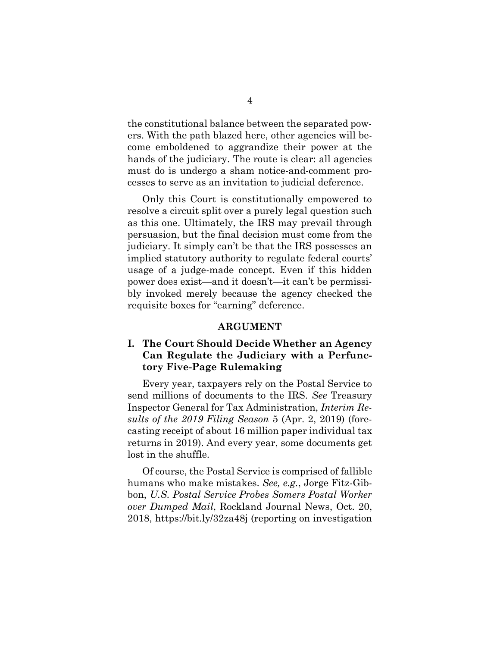the constitutional balance between the separated powers. With the path blazed here, other agencies will become emboldened to aggrandize their power at the hands of the judiciary. The route is clear: all agencies must do is undergo a sham notice-and-comment processes to serve as an invitation to judicial deference.

Only this Court is constitutionally empowered to resolve a circuit split over a purely legal question such as this one. Ultimately, the IRS may prevail through persuasion, but the final decision must come from the judiciary. It simply can't be that the IRS possesses an implied statutory authority to regulate federal courts' usage of a judge-made concept. Even if this hidden power does exist—and it doesn't—it can't be permissibly invoked merely because the agency checked the requisite boxes for "earning" deference.

#### **ARGUMENT**

### <span id="page-9-1"></span><span id="page-9-0"></span>**I. The Court Should Decide Whether an Agency Can Regulate the Judiciary with a Perfunctory Five-Page Rulemaking**

Every year, taxpayers rely on the Postal Service to send millions of documents to the IRS. *See* Treasury Inspector General for Tax Administration, *Interim Results of the 2019 Filing Season* 5 (Apr. 2, 2019) (forecasting receipt of about 16 million paper individual tax returns in 2019). And every year, some documents get lost in the shuffle.

Of course, the Postal Service is comprised of fallible humans who make mistakes. *See, e.g.*, Jorge Fitz-Gibbon, *U.S. Postal Service Probes Somers Postal Worker over Dumped Mail*, Rockland Journal News, Oct. 20, 2018, https://bit.ly/32za48j (reporting on investigation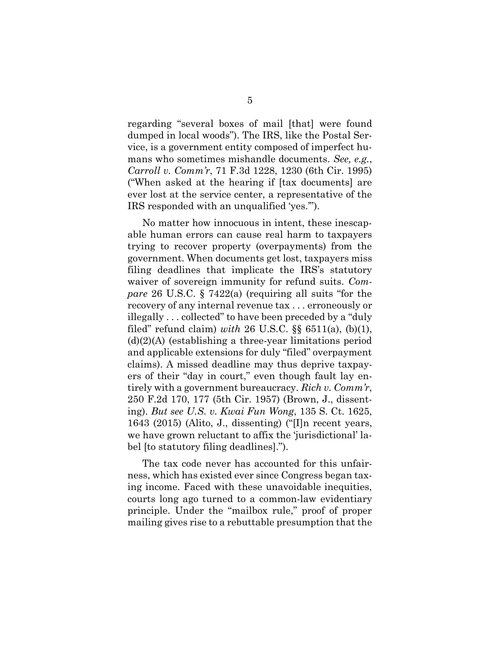regarding "several boxes of mail [that] were found dumped in local woods"). The IRS, like the Postal Service, is a government entity composed of imperfect humans who sometimes mishandle documents. *See, e.g.*, *Carroll v. Comm'r*, 71 F.3d 1228, 1230 (6th Cir. 1995) ("When asked at the hearing if [tax documents] are ever lost at the service center, a representative of the IRS responded with an unqualified 'yes.'").

No matter how innocuous in intent, these inescapable human errors can cause real harm to taxpayers trying to recover property (overpayments) from the government. When documents get lost, taxpayers miss filing deadlines that implicate the IRS's statutory waiver of sovereign immunity for refund suits. *Compare* 26 U.S.C. § 7422(a) (requiring all suits "for the recovery of any internal revenue tax . . . erroneously or illegally . . . collected" to have been preceded by a "duly filed" refund claim) *with* 26 U.S.C. §§ 6511(a), (b)(1),  $(d)(2)(A)$  (establishing a three-year limitations period and applicable extensions for duly "filed" overpayment claims). A missed deadline may thus deprive taxpayers of their "day in court," even though fault lay entirely with a government bureaucracy. *Rich v. Comm'r*, 250 F.2d 170, 177 (5th Cir. 1957) (Brown, J., dissenting). *But see U.S. v. Kwai Fun Wong*, 135 S. Ct. 1625, 1643 (2015) (Alito, J., dissenting) ("[I]n recent years, we have grown reluctant to affix the 'jurisdictional' label [to statutory filing deadlines].").

The tax code never has accounted for this unfairness, which has existed ever since Congress began taxing income. Faced with these unavoidable inequities, courts long ago turned to a common-law evidentiary principle. Under the "mailbox rule," proof of proper mailing gives rise to a rebuttable presumption that the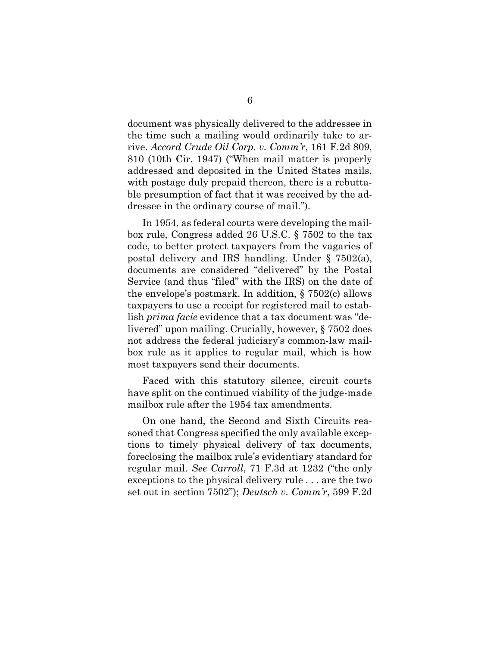document was physically delivered to the addressee in the time such a mailing would ordinarily take to arrive. *Accord Crude Oil Corp. v. Comm'r*, 161 F.2d 809, 810 (10th Cir. 1947) ("When mail matter is properly addressed and deposited in the United States mails, with postage duly prepaid thereon, there is a rebuttable presumption of fact that it was received by the addressee in the ordinary course of mail.").

In 1954, as federal courts were developing the mailbox rule, Congress added 26 U.S.C. § 7502 to the tax code, to better protect taxpayers from the vagaries of postal delivery and IRS handling. Under § 7502(a), documents are considered "delivered" by the Postal Service (and thus "filed" with the IRS) on the date of the envelope's postmark. In addition, § 7502(c) allows taxpayers to use a receipt for registered mail to establish *prima facie* evidence that a tax document was "delivered" upon mailing. Crucially, however, § 7502 does not address the federal judiciary's common-law mailbox rule as it applies to regular mail, which is how most taxpayers send their documents.

Faced with this statutory silence, circuit courts have split on the continued viability of the judge-made mailbox rule after the 1954 tax amendments.

On one hand, the Second and Sixth Circuits reasoned that Congress specified the only available exceptions to timely physical delivery of tax documents, foreclosing the mailbox rule's evidentiary standard for regular mail. *See Carroll*, 71 F.3d at 1232 ("the only exceptions to the physical delivery rule . . . are the two set out in section 7502"); *Deutsch v. Comm'r*, 599 F.2d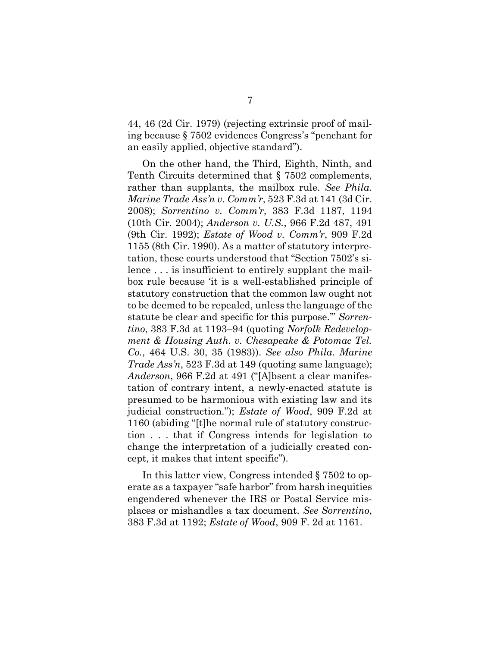44, 46 (2d Cir. 1979) (rejecting extrinsic proof of mailing because § 7502 evidences Congress's "penchant for an easily applied, objective standard").

On the other hand, the Third, Eighth, Ninth, and Tenth Circuits determined that § 7502 complements, rather than supplants, the mailbox rule. *See Phila. Marine Trade Ass'n v. Comm'r*, 523 F.3d at 141 (3d Cir. 2008); *Sorrentino v. Comm'r*, 383 F.3d 1187, 1194 (10th Cir. 2004); *Anderson v. U.S.*, 966 F.2d 487, 491 (9th Cir. 1992); *Estate of Wood v. Comm'r*, 909 F.2d 1155 (8th Cir. 1990). As a matter of statutory interpretation, these courts understood that "Section 7502's silence . . . is insufficient to entirely supplant the mailbox rule because 'it is a well-established principle of statutory construction that the common law ought not to be deemed to be repealed, unless the language of the statute be clear and specific for this purpose.'" *Sorrentino*, 383 F.3d at 1193–94 (quoting *Norfolk Redevelopment & Housing Auth. v. Chesapeake & Potomac Tel. Co.*, 464 U.S. 30, 35 (1983)). *See also Phila. Marine Trade Ass'n*, 523 F.3d at 149 (quoting same language); *Anderson*, 966 F.2d at 491 ("[A]bsent a clear manifestation of contrary intent, a newly-enacted statute is presumed to be harmonious with existing law and its judicial construction."); *Estate of Wood*, 909 F.2d at 1160 (abiding "[t]he normal rule of statutory construction . . . that if Congress intends for legislation to change the interpretation of a judicially created concept, it makes that intent specific").

In this latter view, Congress intended § 7502 to operate as a taxpayer "safe harbor" from harsh inequities engendered whenever the IRS or Postal Service misplaces or mishandles a tax document. *See Sorrentino*, 383 F.3d at 1192; *Estate of Wood*, 909 F. 2d at 1161.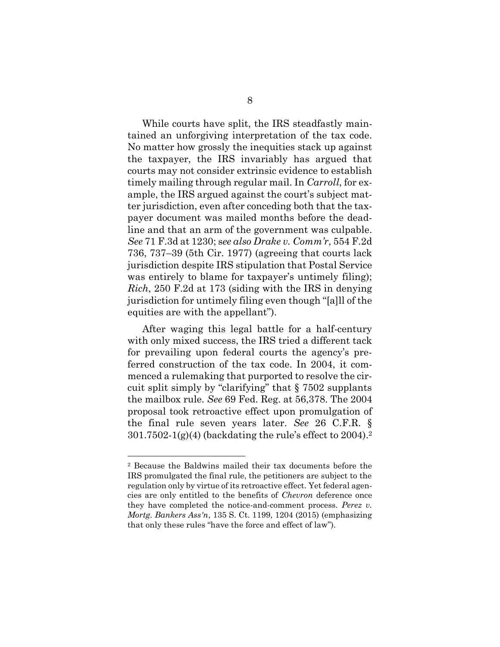While courts have split, the IRS steadfastly maintained an unforgiving interpretation of the tax code. No matter how grossly the inequities stack up against the taxpayer, the IRS invariably has argued that courts may not consider extrinsic evidence to establish timely mailing through regular mail. In *Carroll*, for example, the IRS argued against the court's subject matter jurisdiction, even after conceding both that the taxpayer document was mailed months before the deadline and that an arm of the government was culpable. *See* 71 F.3d at 1230; s*ee also Drake v. Comm'r*, 554 F.2d 736, 737–39 (5th Cir. 1977) (agreeing that courts lack jurisdiction despite IRS stipulation that Postal Service was entirely to blame for taxpayer's untimely filing); *Rich*, 250 F.2d at 173 (siding with the IRS in denying jurisdiction for untimely filing even though "[a]ll of the equities are with the appellant").

After waging this legal battle for a half-century with only mixed success, the IRS tried a different tack for prevailing upon federal courts the agency's preferred construction of the tax code. In 2004, it commenced a rulemaking that purported to resolve the circuit split simply by "clarifying" that § 7502 supplants the mailbox rule. *See* 69 Fed. Reg. at 56,378. The 2004 proposal took retroactive effect upon promulgation of the final rule seven years later. *See* 26 C.F.R. § 301.7502-1(g)(4) (backdating the rule's effect to 2004). 2

 $\overline{a}$ 

<sup>2</sup> Because the Baldwins mailed their tax documents before the IRS promulgated the final rule, the petitioners are subject to the regulation only by virtue of its retroactive effect. Yet federal agencies are only entitled to the benefits of *Chevron* deference once they have completed the notice-and-comment process. *Perez v. Mortg. Bankers Ass'n*, 135 S. Ct. 1199, 1204 (2015) (emphasizing that only these rules "have the force and effect of law").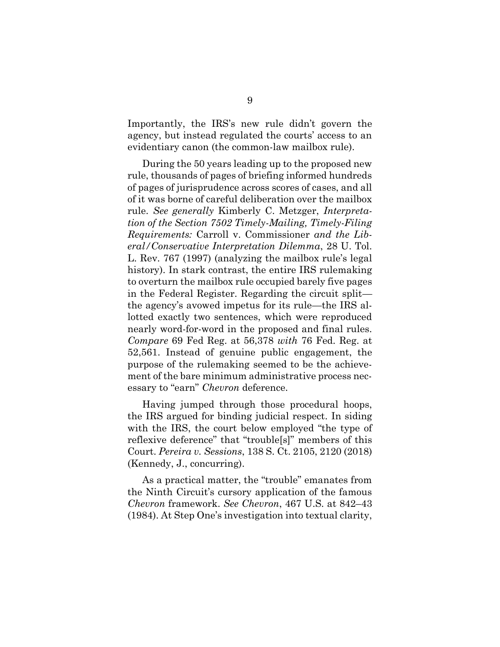Importantly, the IRS's new rule didn't govern the agency, but instead regulated the courts' access to an evidentiary canon (the common-law mailbox rule).

During the 50 years leading up to the proposed new rule, thousands of pages of briefing informed hundreds of pages of jurisprudence across scores of cases, and all of it was borne of careful deliberation over the mailbox rule. *See generally* Kimberly C. Metzger, *Interpretation of the Section 7502 Timely-Mailing, Timely-Filing Requirements:* Carroll v. Commissioner *and the Liberal/Conservative Interpretation Dilemma*, 28 U. Tol. L. Rev. 767 (1997) (analyzing the mailbox rule's legal history). In stark contrast, the entire IRS rulemaking to overturn the mailbox rule occupied barely five pages in the Federal Register. Regarding the circuit split the agency's avowed impetus for its rule—the IRS allotted exactly two sentences, which were reproduced nearly word-for-word in the proposed and final rules. *Compare* 69 Fed Reg. at 56,378 *with* 76 Fed. Reg. at 52,561. Instead of genuine public engagement, the purpose of the rulemaking seemed to be the achievement of the bare minimum administrative process necessary to "earn" *Chevron* deference.

Having jumped through those procedural hoops, the IRS argued for binding judicial respect. In siding with the IRS, the court below employed "the type of reflexive deference" that "trouble[s]" members of this Court. *Pereira v. Sessions*, 138 S. Ct. 2105, 2120 (2018) (Kennedy, J., concurring).

As a practical matter, the "trouble" emanates from the Ninth Circuit's cursory application of the famous *Chevron* framework. *See Chevron*, 467 U.S. at 842–43 (1984). At Step One's investigation into textual clarity,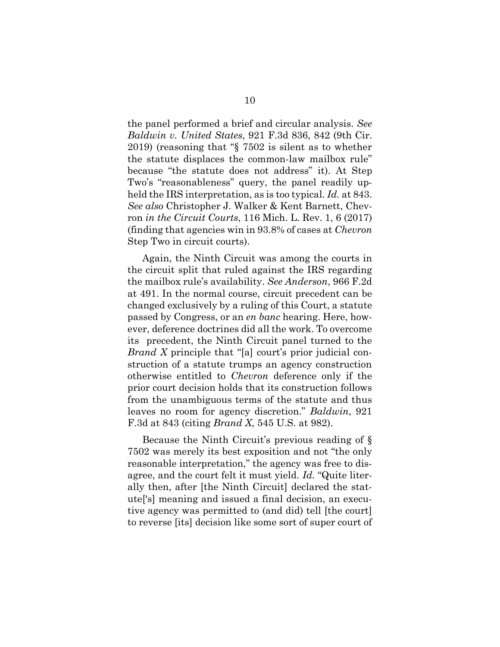the panel performed a brief and circular analysis. *See Baldwin v. United States*, 921 F.3d 836, 842 (9th Cir. 2019) (reasoning that "§ 7502 is silent as to whether the statute displaces the common-law mailbox rule" because "the statute does not address" it). At Step Two's "reasonableness" query, the panel readily upheld the IRS interpretation, as is too typical. *Id.* at 843. *See also* Christopher J. Walker & Kent Barnett, Chevron *in the Circuit Courts*, 116 Mich. L. Rev. 1, 6 (2017) (finding that agencies win in 93.8% of cases at *Chevron* Step Two in circuit courts).

Again, the Ninth Circuit was among the courts in the circuit split that ruled against the IRS regarding the mailbox rule's availability. *See Anderson*, 966 F.2d at 491. In the normal course, circuit precedent can be changed exclusively by a ruling of this Court, a statute passed by Congress, or an *en banc* hearing. Here, however, deference doctrines did all the work. To overcome its precedent, the Ninth Circuit panel turned to the *Brand X* principle that "[a] court's prior judicial construction of a statute trumps an agency construction otherwise entitled to *Chevron* deference only if the prior court decision holds that its construction follows from the unambiguous terms of the statute and thus leaves no room for agency discretion." *Baldwin*, 921 F.3d at 843 (citing *Brand X*, 545 U.S. at 982).

Because the Ninth Circuit's previous reading of § 7502 was merely its best exposition and not "the only reasonable interpretation," the agency was free to disagree, and the court felt it must yield. *Id.* "Quite literally then, after [the Ninth Circuit] declared the statute['s] meaning and issued a final decision, an executive agency was permitted to (and did) tell [the court] to reverse [its] decision like some sort of super court of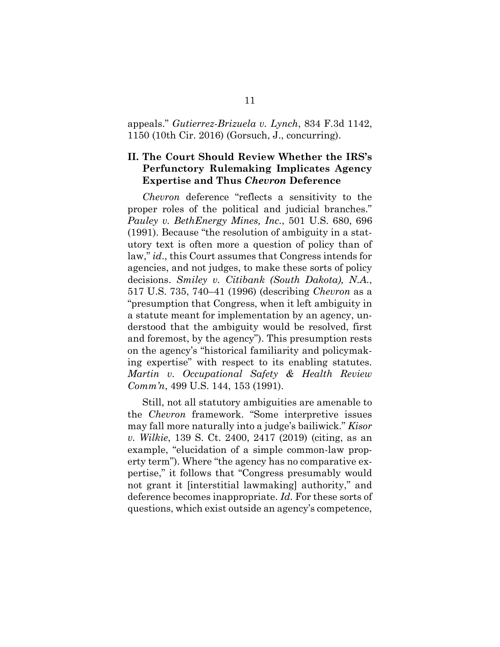appeals." *Gutierrez-Brizuela v. Lynch*, 834 F.3d 1142, 1150 (10th Cir. 2016) (Gorsuch, J., concurring).

### <span id="page-16-0"></span>**II. The Court Should Review Whether the IRS's Perfunctory Rulemaking Implicates Agency Expertise and Thus** *Chevron* **Deference**

*Chevron* deference "reflects a sensitivity to the proper roles of the political and judicial branches." *Pauley v. BethEnergy Mines, Inc.*, 501 U.S. 680, 696 (1991). Because "the resolution of ambiguity in a statutory text is often more a question of policy than of law," *id*., this Court assumes that Congress intends for agencies, and not judges, to make these sorts of policy decisions. *Smiley v. Citibank (South Dakota), N.A.*, 517 U.S. 735, 740–41 (1996) (describing *Chevron* as a "presumption that Congress, when it left ambiguity in a statute meant for implementation by an agency, understood that the ambiguity would be resolved, first and foremost, by the agency"). This presumption rests on the agency's "historical familiarity and policymaking expertise" with respect to its enabling statutes. *Martin v. Occupational Safety & Health Review Comm'n*, 499 U.S. 144, 153 (1991).

Still, not all statutory ambiguities are amenable to the *Chevron* framework. "Some interpretive issues may fall more naturally into a judge's bailiwick." *Kisor v. Wilkie*, 139 S. Ct. 2400, 2417 (2019) (citing, as an example, "elucidation of a simple common-law property term"). Where "the agency has no comparative expertise," it follows that "Congress presumably would not grant it [interstitial lawmaking] authority," and deference becomes inappropriate. *Id.* For these sorts of questions, which exist outside an agency's competence,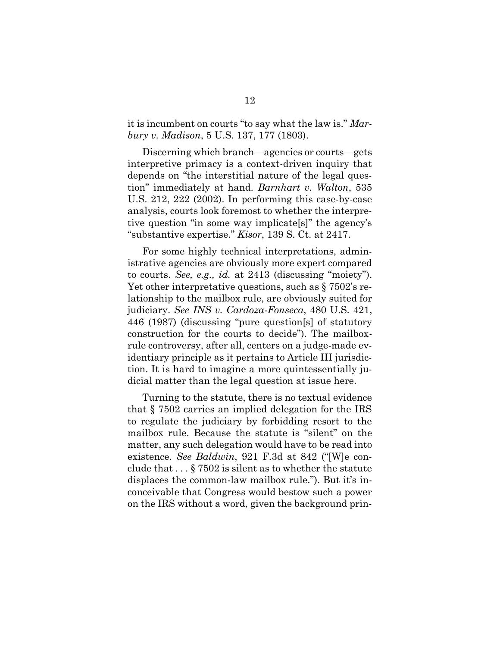it is incumbent on courts "to say what the law is." *Marbury v. Madison*, 5 U.S. 137, 177 (1803).

Discerning which branch—agencies or courts—gets interpretive primacy is a context-driven inquiry that depends on "the interstitial nature of the legal question" immediately at hand. *Barnhart v. Walton*, 535 U.S. 212, 222 (2002). In performing this case-by-case analysis, courts look foremost to whether the interpretive question "in some way implicate[s]" the agency's "substantive expertise." *Kisor*, 139 S. Ct. at 2417.

For some highly technical interpretations, administrative agencies are obviously more expert compared to courts. *See, e.g., id.* at 2413 (discussing "moiety"). Yet other interpretative questions, such as § 7502's relationship to the mailbox rule, are obviously suited for judiciary. *See INS v. Cardoza-Fonseca*, 480 U.S. 421, 446 (1987) (discussing "pure question[s] of statutory construction for the courts to decide"). The mailboxrule controversy, after all, centers on a judge-made evidentiary principle as it pertains to Article III jurisdiction. It is hard to imagine a more quintessentially judicial matter than the legal question at issue here.

Turning to the statute, there is no textual evidence that § 7502 carries an implied delegation for the IRS to regulate the judiciary by forbidding resort to the mailbox rule. Because the statute is "silent" on the matter, any such delegation would have to be read into existence. *See Baldwin*, 921 F.3d at 842 ("[W]e conclude that . . . § 7502 is silent as to whether the statute displaces the common-law mailbox rule."). But it's inconceivable that Congress would bestow such a power on the IRS without a word, given the background prin-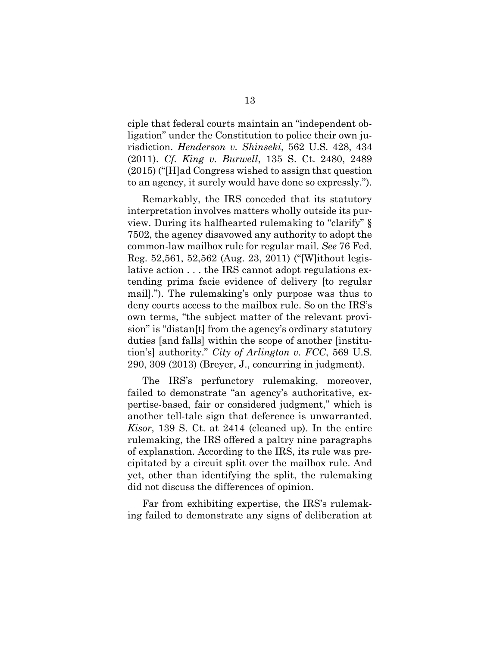ciple that federal courts maintain an "independent obligation" under the Constitution to police their own jurisdiction. *Henderson v. Shinseki*, 562 U.S. 428, 434 (2011). *Cf. King v. Burwell*, 135 S. Ct. 2480, 2489 (2015) ("[H]ad Congress wished to assign that question to an agency, it surely would have done so expressly.").

Remarkably, the IRS conceded that its statutory interpretation involves matters wholly outside its purview. During its halfhearted rulemaking to "clarify" § 7502, the agency disavowed any authority to adopt the common-law mailbox rule for regular mail. *See* 76 Fed. Reg. 52,561, 52,562 (Aug. 23, 2011) ("[W]ithout legislative action . . . the IRS cannot adopt regulations extending prima facie evidence of delivery [to regular mail]."). The rulemaking's only purpose was thus to deny courts access to the mailbox rule. So on the IRS's own terms, "the subject matter of the relevant provision" is "distan[t] from the agency's ordinary statutory duties [and falls] within the scope of another [institution's] authority." *City of Arlington v. FCC*, 569 U.S. 290, 309 (2013) (Breyer, J., concurring in judgment).

The IRS's perfunctory rulemaking, moreover, failed to demonstrate "an agency's authoritative, expertise-based, fair or considered judgment," which is another tell-tale sign that deference is unwarranted. *Kisor*, 139 S. Ct. at 2414 (cleaned up). In the entire rulemaking, the IRS offered a paltry nine paragraphs of explanation. According to the IRS, its rule was precipitated by a circuit split over the mailbox rule. And yet, other than identifying the split, the rulemaking did not discuss the differences of opinion.

Far from exhibiting expertise, the IRS's rulemaking failed to demonstrate any signs of deliberation at